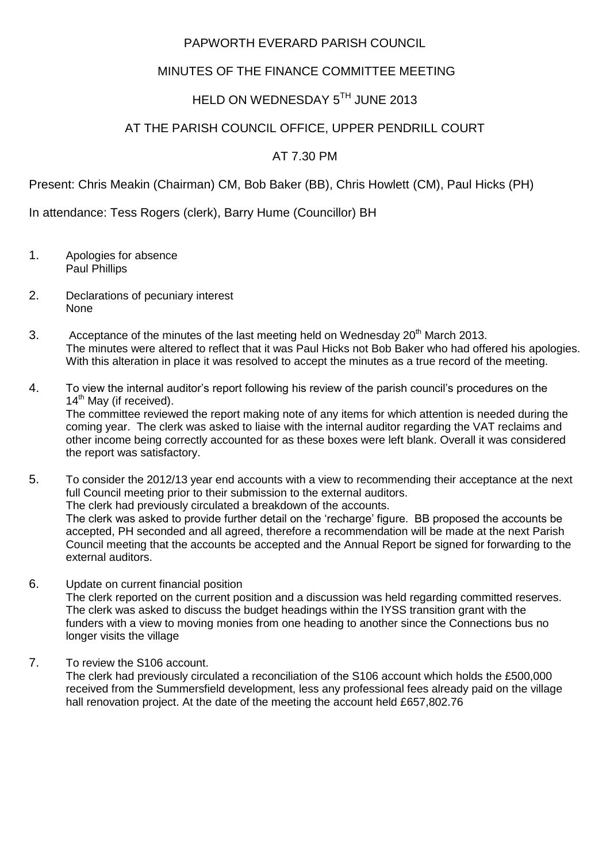#### PAPWORTH EVERARD PARISH COUNCIL

### MINUTES OF THE FINANCE COMMITTEE MEETING

# HELD ON WEDNESDAY 5TH JUNE 2013

### AT THE PARISH COUNCIL OFFICE, UPPER PENDRILL COURT

## AT 7.30 PM

Present: Chris Meakin (Chairman) CM, Bob Baker (BB), Chris Howlett (CM), Paul Hicks (PH)

In attendance: Tess Rogers (clerk), Barry Hume (Councillor) BH

- 1. Apologies for absence Paul Phillips
- 2. Declarations of pecuniary interest None
- 3. Acceptance of the minutes of the last meeting held on Wednesday  $20<sup>th</sup>$  March 2013. The minutes were altered to reflect that it was Paul Hicks not Bob Baker who had offered his apologies. With this alteration in place it was resolved to accept the minutes as a true record of the meeting.
- 4. To view the internal auditor's report following his review of the parish council's procedures on the 14<sup>th</sup> May (if received). The committee reviewed the report making note of any items for which attention is needed during the coming year. The clerk was asked to liaise with the internal auditor regarding the VAT reclaims and other income being correctly accounted for as these boxes were left blank. Overall it was considered the report was satisfactory.
- 5. To consider the 2012/13 year end accounts with a view to recommending their acceptance at the next full Council meeting prior to their submission to the external auditors. The clerk had previously circulated a breakdown of the accounts. The clerk was asked to provide further detail on the 'recharge' figure. BB proposed the accounts be accepted, PH seconded and all agreed, therefore a recommendation will be made at the next Parish Council meeting that the accounts be accepted and the Annual Report be signed for forwarding to the external auditors.
- 6. Update on current financial position The clerk reported on the current position and a discussion was held regarding committed reserves. The clerk was asked to discuss the budget headings within the IYSS transition grant with the funders with a view to moving monies from one heading to another since the Connections bus no longer visits the village
- 7. To review the S106 account.

The clerk had previously circulated a reconciliation of the S106 account which holds the £500,000 received from the Summersfield development, less any professional fees already paid on the village hall renovation project. At the date of the meeting the account held £657,802.76